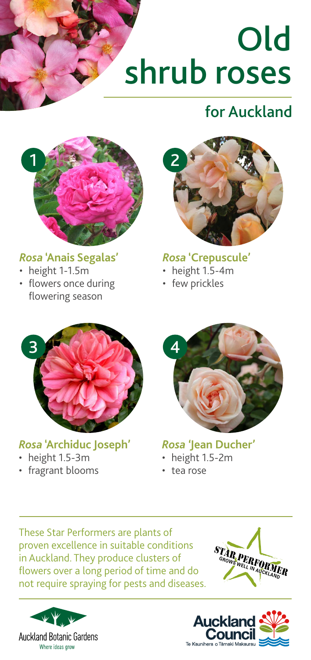# Old shrub roses

# for Auckland



#### *Rosa* **'Anais Segalas'**

- height 1-1.5m
- flowers once during flowering season



#### *Rosa* **'Crepuscule'**

- height 1.5-4m
- few prickles



#### *Rosa* **'Archiduc Joseph'**

- height 1.5-3m
- fragrant blooms



## *Rosa '***Jean Ducher'**

- height 1.5-2m
- tea rose

These Star Performers are plants of proven excellence in suitable conditions in Auckland. They produce clusters of flowers over a long period of time and do not require spraying for pests and diseases.